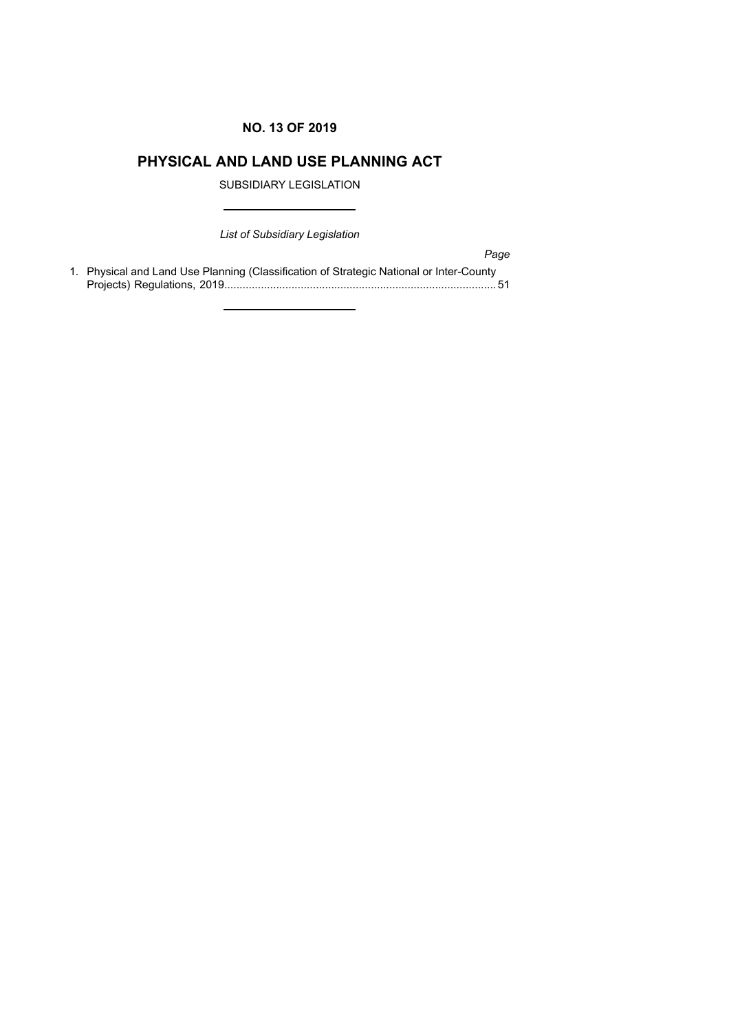# **NO. 13 OF 2019**

# **PHYSICAL AND LAND USE PLANNING ACT**

SUBSIDIARY LEGISLATION

*List of Subsidiary Legislation*

*Page* 1. Physical and Land Use Planning (Classification of Strategic National or Inter-County Projects) Regulations, 2019......................................................................................... 51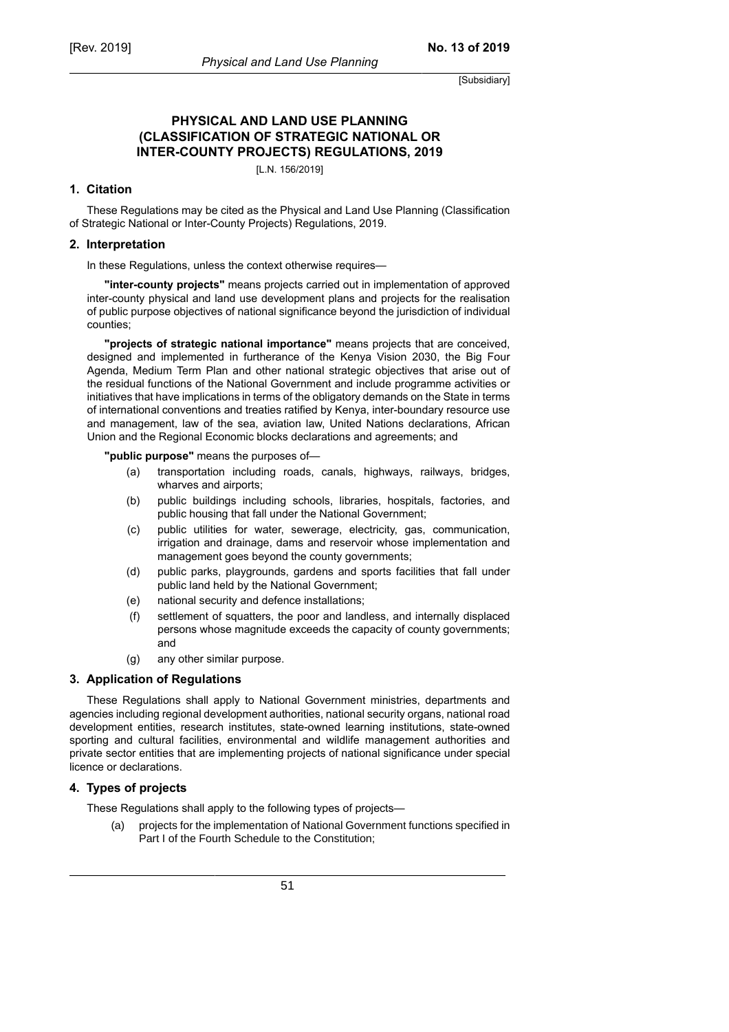**No. 13 of 2019**

# **PHYSICAL AND LAND USE PLANNING (CLASSIFICATION OF STRATEGIC NATIONAL OR INTER-COUNTY PROJECTS) REGULATIONS, 2019**

[L.N. 156/2019]

### **1. Citation**

These Regulations may be cited as the Physical and Land Use Planning (Classification of Strategic National or Inter-County Projects) Regulations, 2019.

### **2. Interpretation**

In these Regulations, unless the context otherwise requires—

**"inter-county projects"** means projects carried out in implementation of approved inter-county physical and land use development plans and projects for the realisation of public purpose objectives of national significance beyond the jurisdiction of individual counties;

**"projects of strategic national importance"** means projects that are conceived, designed and implemented in furtherance of the Kenya Vision 2030, the Big Four Agenda, Medium Term Plan and other national strategic objectives that arise out of the residual functions of the National Government and include programme activities or initiatives that have implications in terms of the obligatory demands on the State in terms of international conventions and treaties ratified by Kenya, inter-boundary resource use and management, law of the sea, aviation law, United Nations declarations, African Union and the Regional Economic blocks declarations and agreements; and

**"public purpose"** means the purposes of—

- (a) transportation including roads, canals, highways, railways, bridges, wharves and airports;
- (b) public buildings including schools, libraries, hospitals, factories, and public housing that fall under the National Government;
- (c) public utilities for water, sewerage, electricity, gas, communication, irrigation and drainage, dams and reservoir whose implementation and management goes beyond the county governments;
- (d) public parks, playgrounds, gardens and sports facilities that fall under public land held by the National Government;
- (e) national security and defence installations;
- (f) settlement of squatters, the poor and landless, and internally displaced persons whose magnitude exceeds the capacity of county governments; and
- (g) any other similar purpose.

### **3. Application of Regulations**

These Regulations shall apply to National Government ministries, departments and agencies including regional development authorities, national security organs, national road development entities, research institutes, state-owned learning institutions, state-owned sporting and cultural facilities, environmental and wildlife management authorities and private sector entities that are implementing projects of national significance under special licence or declarations.

# **4. Types of projects**

These Regulations shall apply to the following types of projects—

(a) projects for the implementation of National Government functions specified in Part I of the Fourth Schedule to the Constitution;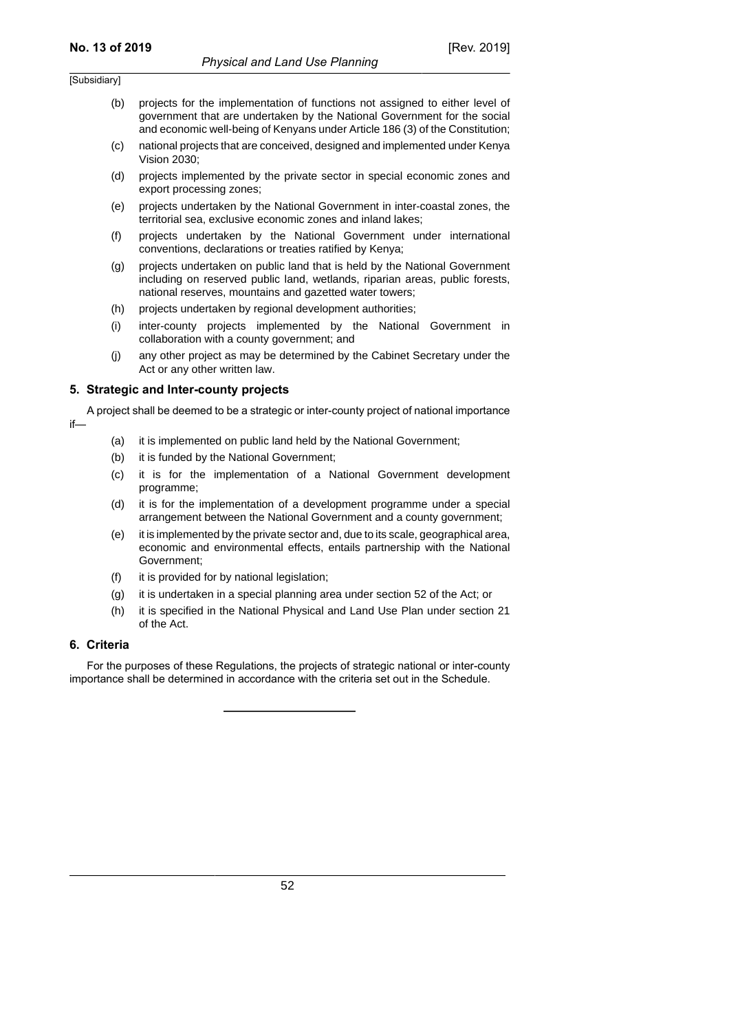- (b) projects for the implementation of functions not assigned to either level of government that are undertaken by the National Government for the social and economic well-being of Kenyans under Article 186 (3) of the Constitution;
- (c) national projects that are conceived, designed and implemented under Kenya Vision 2030;
- (d) projects implemented by the private sector in special economic zones and export processing zones;
- (e) projects undertaken by the National Government in inter-coastal zones, the territorial sea, exclusive economic zones and inland lakes;
- (f) projects undertaken by the National Government under international conventions, declarations or treaties ratified by Kenya;
- (g) projects undertaken on public land that is held by the National Government including on reserved public land, wetlands, riparian areas, public forests, national reserves, mountains and gazetted water towers;
- (h) projects undertaken by regional development authorities;
- (i) inter-county projects implemented by the National Government in collaboration with a county government; and
- (j) any other project as may be determined by the Cabinet Secretary under the Act or any other written law.

#### **5. Strategic and Inter-county projects**

A project shall be deemed to be a strategic or inter-county project of national importance if—

- (a) it is implemented on public land held by the National Government;
- (b) it is funded by the National Government;
- (c) it is for the implementation of a National Government development programme;
- (d) it is for the implementation of a development programme under a special arrangement between the National Government and a county government;
- (e) it is implemented by the private sector and, due to its scale, geographical area, economic and environmental effects, entails partnership with the National Government;
- (f) it is provided for by national legislation;
- (g) it is undertaken in a special planning area under section 52 of the Act; or
- (h) it is specified in the National Physical and Land Use Plan under section 21 of the Act.

#### **6. Criteria**

For the purposes of these Regulations, the projects of strategic national or inter-county importance shall be determined in accordance with the criteria set out in the Schedule.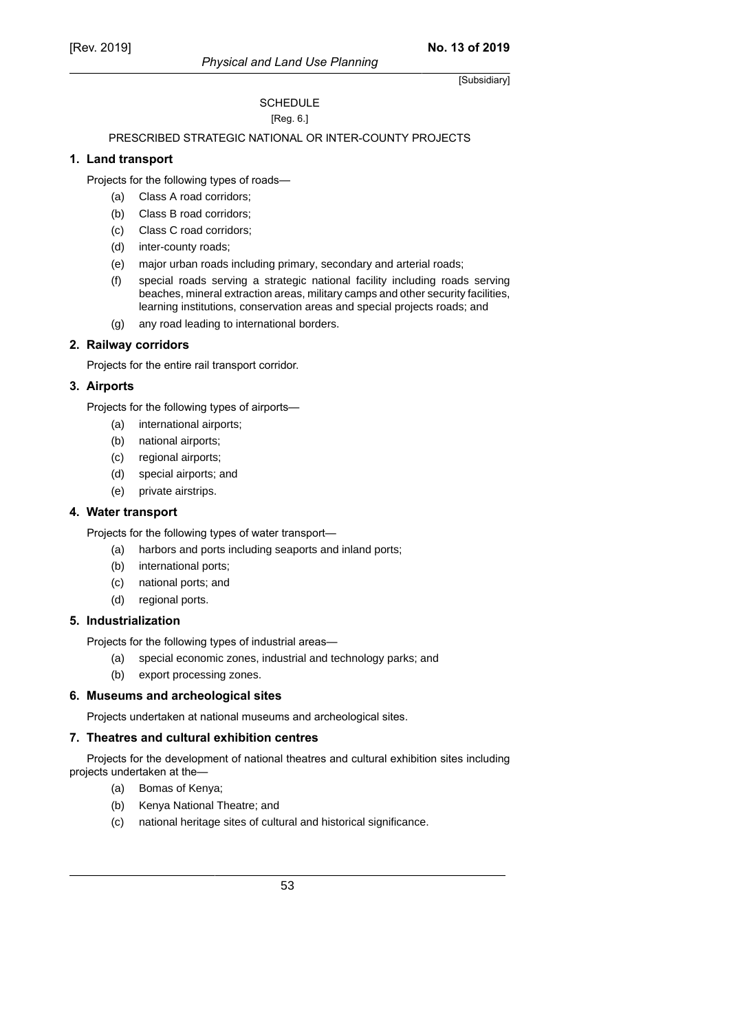### **SCHEDULE** [Reg. 6.]

# PRESCRIBED STRATEGIC NATIONAL OR INTER-COUNTY PROJECTS

### **1. Land transport**

Projects for the following types of roads—

- (a) Class A road corridors;
- (b) Class B road corridors;
- (c) Class C road corridors;
- (d) inter-county roads;
- (e) major urban roads including primary, secondary and arterial roads;
- (f) special roads serving a strategic national facility including roads serving beaches, mineral extraction areas, military camps and other security facilities, learning institutions, conservation areas and special projects roads; and
- (g) any road leading to international borders.

# **2. Railway corridors**

Projects for the entire rail transport corridor.

# **3. Airports**

Projects for the following types of airports—

- (a) international airports;
- (b) national airports;
- (c) regional airports;
- (d) special airports; and
- (e) private airstrips.

### **4. Water transport**

Projects for the following types of water transport—

- (a) harbors and ports including seaports and inland ports;
- (b) international ports;
- (c) national ports; and
- (d) regional ports.

# **5. Industrialization**

Projects for the following types of industrial areas—

- (a) special economic zones, industrial and technology parks; and
- (b) export processing zones.

# **6. Museums and archeological sites**

Projects undertaken at national museums and archeological sites.

# **7. Theatres and cultural exhibition centres**

Projects for the development of national theatres and cultural exhibition sites including projects undertaken at the—

- (a) Bomas of Kenya;
- (b) Kenya National Theatre; and
- (c) national heritage sites of cultural and historical significance.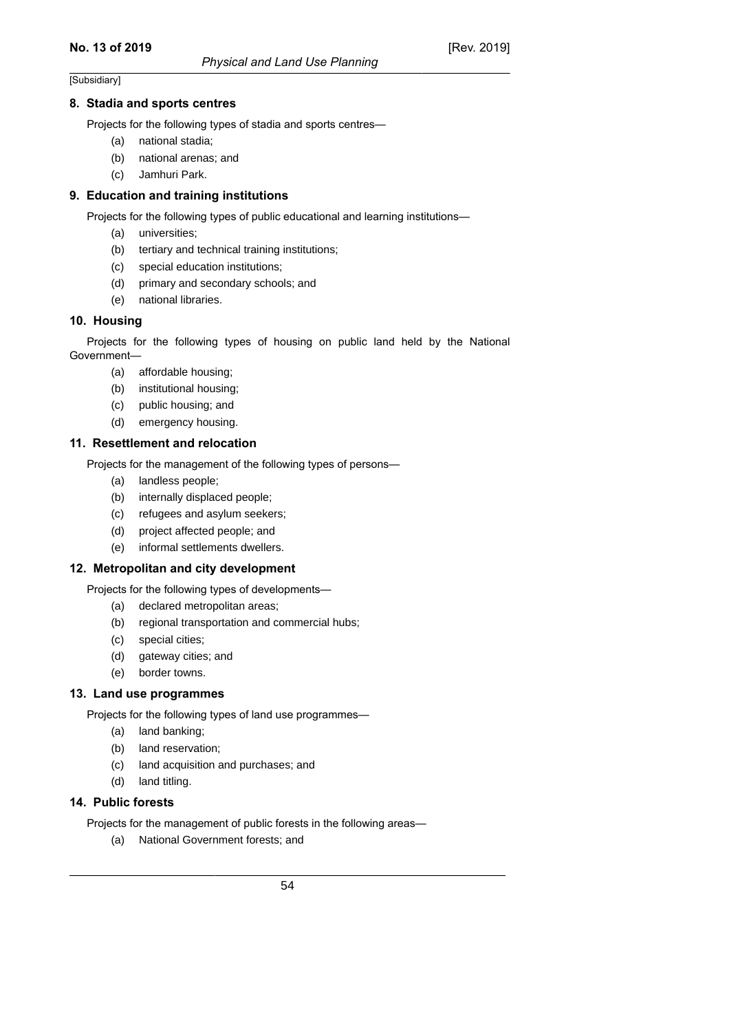#### **8. Stadia and sports centres**

Projects for the following types of stadia and sports centres—

- (a) national stadia;
- (b) national arenas; and
- (c) Jamhuri Park.

#### **9. Education and training institutions**

Projects for the following types of public educational and learning institutions—

- (a) universities;
- (b) tertiary and technical training institutions;
- (c) special education institutions;
- (d) primary and secondary schools; and
- (e) national libraries.

#### **10. Housing**

Projects for the following types of housing on public land held by the National Government—

- (a) affordable housing;
- (b) institutional housing;
- (c) public housing; and
- (d) emergency housing.

#### **11. Resettlement and relocation**

Projects for the management of the following types of persons—

- (a) landless people;
- (b) internally displaced people;
- (c) refugees and asylum seekers;
- (d) project affected people; and
- (e) informal settlements dwellers.

### **12. Metropolitan and city development**

Projects for the following types of developments—

- (a) declared metropolitan areas;
- (b) regional transportation and commercial hubs;
- (c) special cities;
- (d) gateway cities; and
- (e) border towns.

### **13. Land use programmes**

Projects for the following types of land use programmes—

- (a) land banking;
- (b) land reservation;
- (c) land acquisition and purchases; and
- (d) land titling.

# **14. Public forests**

Projects for the management of public forests in the following areas—

(a) National Government forests; and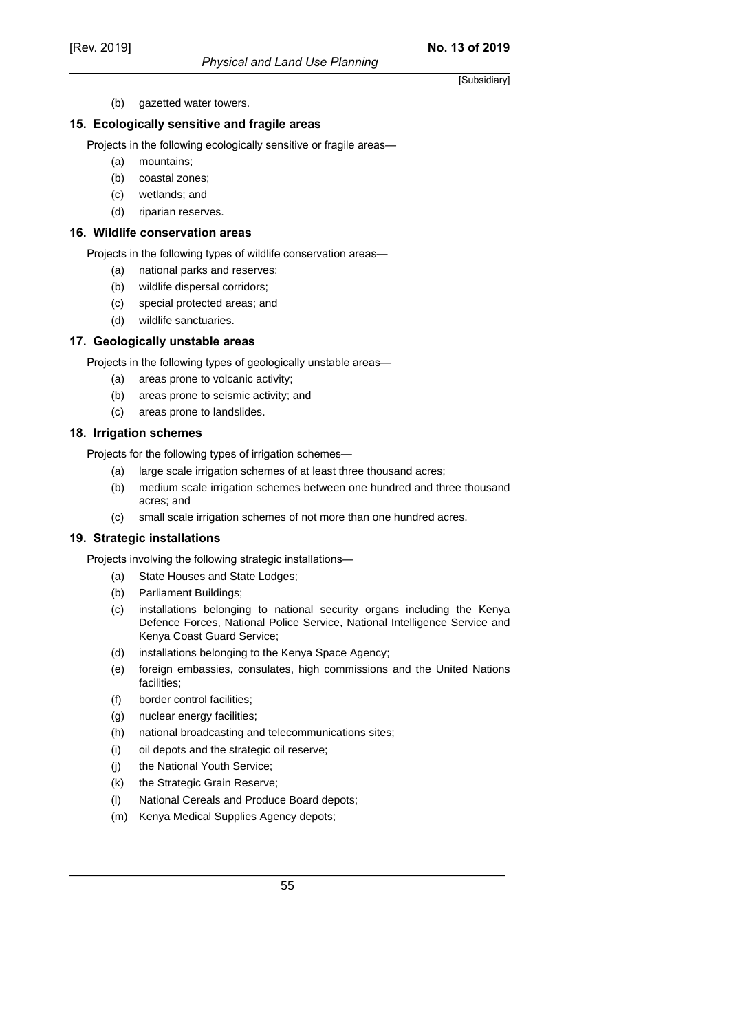(b) gazetted water towers.

#### **15. Ecologically sensitive and fragile areas**

Projects in the following ecologically sensitive or fragile areas—

- (a) mountains;
- (b) coastal zones;
- (c) wetlands; and
- (d) riparian reserves.

#### **16. Wildlife conservation areas**

Projects in the following types of wildlife conservation areas—

- (a) national parks and reserves;
- (b) wildlife dispersal corridors;
- (c) special protected areas; and
- (d) wildlife sanctuaries.

#### **17. Geologically unstable areas**

Projects in the following types of geologically unstable areas—

- (a) areas prone to volcanic activity;
- (b) areas prone to seismic activity; and
- (c) areas prone to landslides.

### **18. Irrigation schemes**

Projects for the following types of irrigation schemes—

- (a) large scale irrigation schemes of at least three thousand acres;
- (b) medium scale irrigation schemes between one hundred and three thousand acres; and
- (c) small scale irrigation schemes of not more than one hundred acres.

### **19. Strategic installations**

Projects involving the following strategic installations—

- (a) State Houses and State Lodges;
- (b) Parliament Buildings;
- (c) installations belonging to national security organs including the Kenya Defence Forces, National Police Service, National Intelligence Service and Kenya Coast Guard Service;
- (d) installations belonging to the Kenya Space Agency;
- (e) foreign embassies, consulates, high commissions and the United Nations facilities;
- (f) border control facilities;
- (g) nuclear energy facilities;
- (h) national broadcasting and telecommunications sites;
- (i) oil depots and the strategic oil reserve;
- (j) the National Youth Service;
- (k) the Strategic Grain Reserve;
- (l) National Cereals and Produce Board depots;
- (m) Kenya Medical Supplies Agency depots;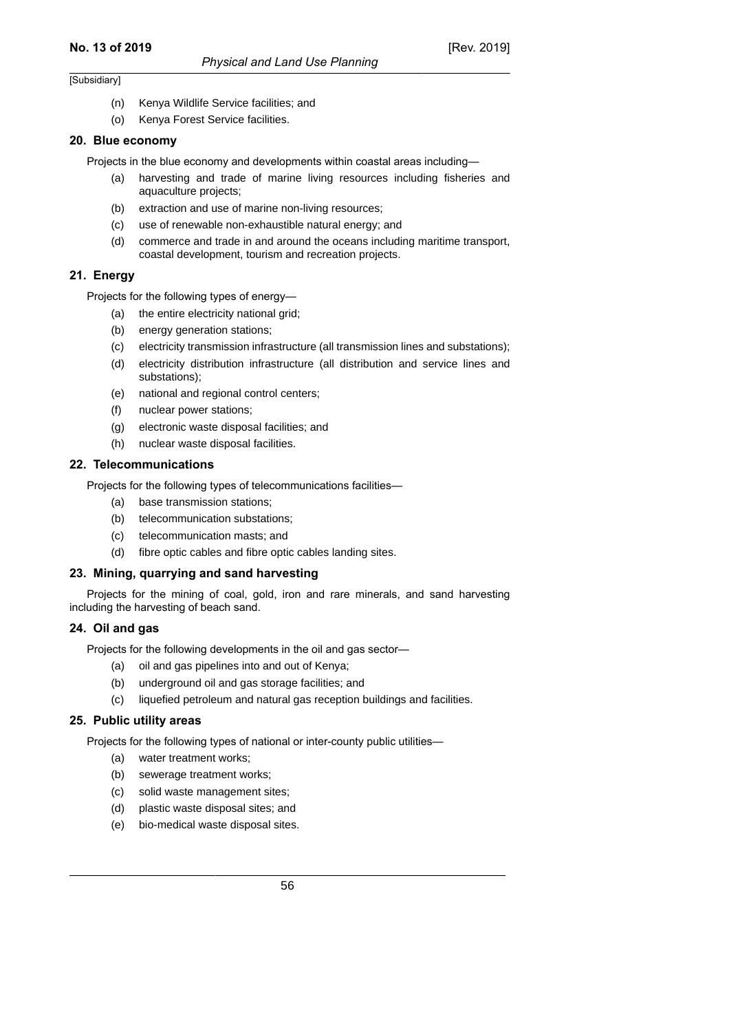- (n) Kenya Wildlife Service facilities; and
- (o) Kenya Forest Service facilities.

#### **20. Blue economy**

Projects in the blue economy and developments within coastal areas including—

- (a) harvesting and trade of marine living resources including fisheries and aquaculture projects;
- (b) extraction and use of marine non-living resources;
- (c) use of renewable non-exhaustible natural energy; and
- (d) commerce and trade in and around the oceans including maritime transport, coastal development, tourism and recreation projects.

### **21. Energy**

Projects for the following types of energy—

- (a) the entire electricity national grid;
- (b) energy generation stations:
- (c) electricity transmission infrastructure (all transmission lines and substations);
- (d) electricity distribution infrastructure (all distribution and service lines and substations);
- (e) national and regional control centers;
- (f) nuclear power stations;
- (g) electronic waste disposal facilities; and
- (h) nuclear waste disposal facilities.

### **22. Telecommunications**

Projects for the following types of telecommunications facilities—

- (a) base transmission stations;
- (b) telecommunication substations;
- (c) telecommunication masts; and
- (d) fibre optic cables and fibre optic cables landing sites.

### **23. Mining, quarrying and sand harvesting**

Projects for the mining of coal, gold, iron and rare minerals, and sand harvesting including the harvesting of beach sand.

### **24. Oil and gas**

Projects for the following developments in the oil and gas sector—

- (a) oil and gas pipelines into and out of Kenya;
- (b) underground oil and gas storage facilities; and
- (c) liquefied petroleum and natural gas reception buildings and facilities.

### **25. Public utility areas**

Projects for the following types of national or inter-county public utilities—

- (a) water treatment works;
- (b) sewerage treatment works;
- (c) solid waste management sites;
- (d) plastic waste disposal sites; and
- (e) bio-medical waste disposal sites.